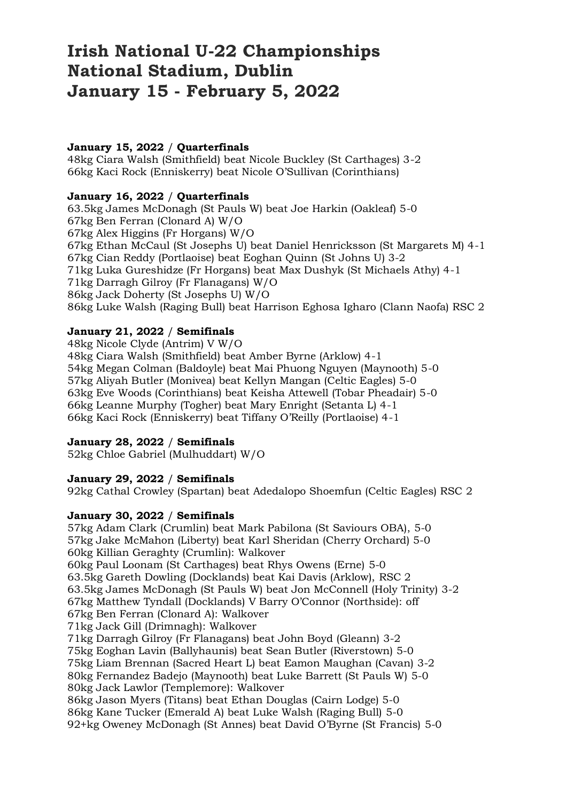# **Irish National U-22 Championships National Stadium, Dublin January 15 - February 5, 2022**

# **January 15, 2022** / **Quarterfinals**

48kg Ciara Walsh (Smithfield) beat Nicole Buckley (St Carthages) 3-2 66kg Kaci Rock (Enniskerry) beat Nicole O'Sullivan (Corinthians)

## **January 16, 2022** / **Quarterfinals**

63.5kg James McDonagh (St Pauls W) beat Joe Harkin (Oakleaf) 5-0 67kg Ben Ferran (Clonard A) W/O 67kg Alex Higgins (Fr Horgans) W/O 67kg Ethan McCaul (St Josephs U) beat Daniel Henricksson (St Margarets M) 4-1 67kg Cian Reddy (Portlaoise) beat Eoghan Quinn (St Johns U) 3-2 71kg Luka Gureshidze (Fr Horgans) beat Max Dushyk (St Michaels Athy) 4-1 71kg Darragh Gilroy (Fr Flanagans) W/O 86kg Jack Doherty (St Josephs U) W/O 86kg Luke Walsh (Raging Bull) beat Harrison Eghosa Igharo (Clann Naofa) RSC 2

## **January 21, 2022** / **Semifinals**

48kg Nicole Clyde (Antrim) V W/O 48kg Ciara Walsh (Smithfield) beat Amber Byrne (Arklow) 4-1 54kg Megan Colman (Baldoyle) beat Mai Phuong Nguyen (Maynooth) 5-0 57kg Aliyah Butler (Monivea) beat Kellyn Mangan (Celtic Eagles) 5-0 63kg Eve Woods (Corinthians) beat Keisha Attewell (Tobar Pheadair) 5-0 66kg Leanne Murphy (Togher) beat Mary Enright (Setanta L) 4-1 66kg Kaci Rock (Enniskerry) beat Tiffany O'Reilly (Portlaoise) 4-1

#### **January 28, 2022** / **Semifinals**

52kg Chloe Gabriel (Mulhuddart) W/O

#### **January 29, 2022** / **Semifinals**

92kg Cathal Crowley (Spartan) beat Adedalopo Shoemfun (Celtic Eagles) RSC 2

#### **January 30, 2022** / **Semifinals**

57kg Adam Clark (Crumlin) beat Mark Pabilona (St Saviours OBA), 5-0 57kg Jake McMahon (Liberty) beat Karl Sheridan (Cherry Orchard) 5-0 60kg Killian Geraghty (Crumlin): Walkover 60kg Paul Loonam (St Carthages) beat Rhys Owens (Erne) 5-0 63.5kg Gareth Dowling (Docklands) beat Kai Davis (Arklow), RSC 2 63.5kg James McDonagh (St Pauls W) beat Jon McConnell (Holy Trinity) 3-2 67kg Matthew Tyndall (Docklands) V Barry O'Connor (Northside): off 67kg Ben Ferran (Clonard A): Walkover 71kg Jack Gill (Drimnagh): Walkover 71kg Darragh Gilroy (Fr Flanagans) beat John Boyd (Gleann) 3-2 75kg Eoghan Lavin (Ballyhaunis) beat Sean Butler (Riverstown) 5-0 75kg Liam Brennan (Sacred Heart L) beat Eamon Maughan (Cavan) 3-2 80kg Fernandez Badejo (Maynooth) beat Luke Barrett (St Pauls W) 5-0 80kg Jack Lawlor (Templemore): Walkover 86kg Jason Myers (Titans) beat Ethan Douglas (Cairn Lodge) 5-0 86kg Kane Tucker (Emerald A) beat Luke Walsh (Raging Bull) 5-0 92+kg Oweney McDonagh (St Annes) beat David O'Byrne (St Francis) 5-0